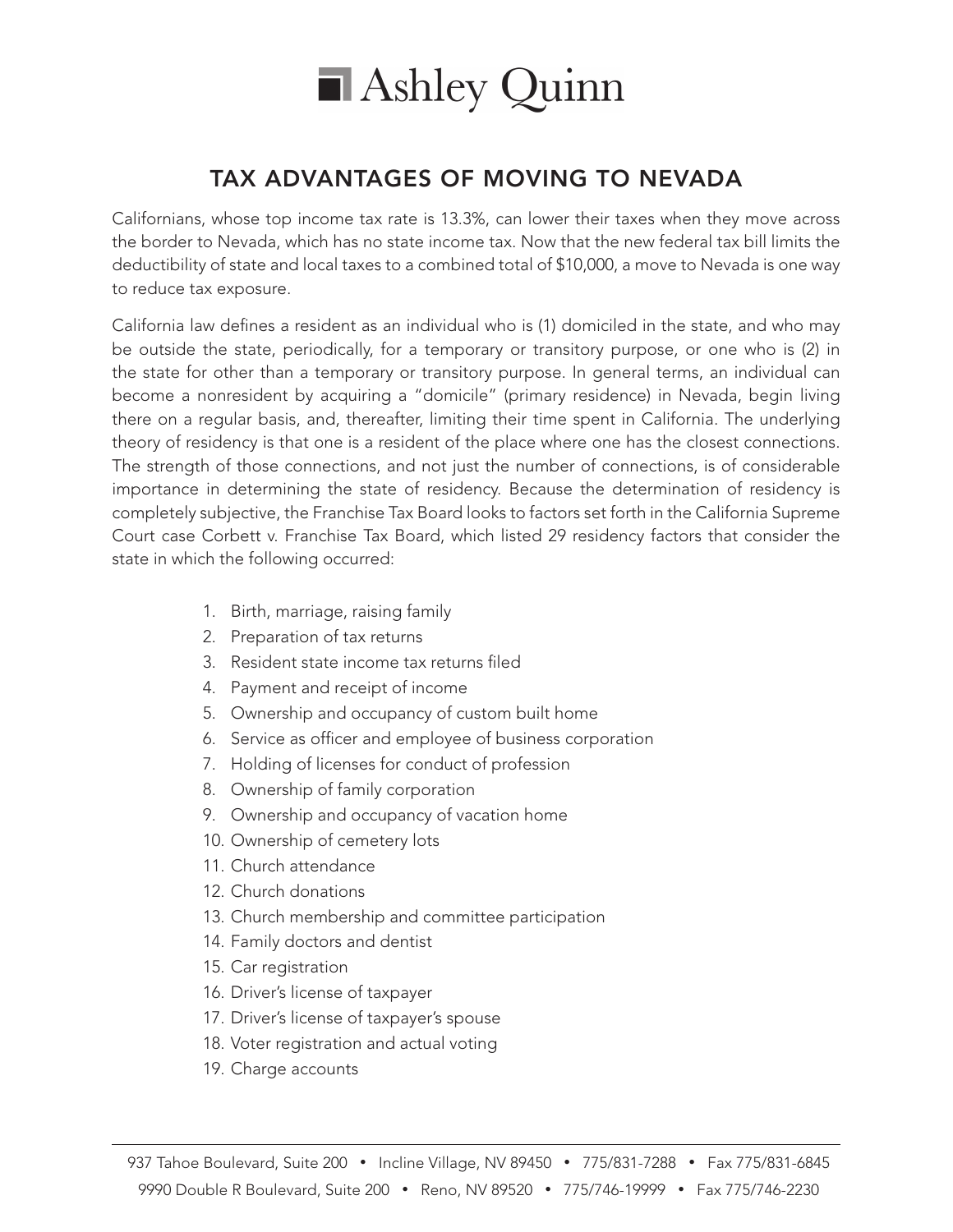

## TAX ADVANTAGES OF MOVING TO NEVADA

Californians, whose top income tax rate is 13.3%, can lower their taxes when they move across the border to Nevada, which has no state income tax. Now that the new federal tax bill limits the deductibility of state and local taxes to a combined total of \$10,000, a move to Nevada is one way to reduce tax exposure.

California law defines a resident as an individual who is (1) domiciled in the state, and who may be outside the state, periodically, for a temporary or transitory purpose, or one who is (2) in the state for other than a temporary or transitory purpose. In general terms, an individual can become a nonresident by acquiring a "domicile" (primary residence) in Nevada, begin living there on a regular basis, and, thereafter, limiting their time spent in California. The underlying theory of residency is that one is a resident of the place where one has the closest connections. The strength of those connections, and not just the number of connections, is of considerable importance in determining the state of residency. Because the determination of residency is completely subjective, the Franchise Tax Board looks to factors set forth in the California Supreme Court case Corbett v. Franchise Tax Board, which listed 29 residency factors that consider the state in which the following occurred:

- 1. Birth, marriage, raising family
- 2. Preparation of tax returns
- 3. Resident state income tax returns filed
- 4. Payment and receipt of income
- 5. Ownership and occupancy of custom built home
- 6. Service as officer and employee of business corporation
- 7. Holding of licenses for conduct of profession
- 8. Ownership of family corporation
- 9. Ownership and occupancy of vacation home
- 10. Ownership of cemetery lots
- 11. Church attendance
- 12. Church donations
- 13. Church membership and committee participation
- 14. Family doctors and dentist
- 15. Car registration
- 16. Driver's license of taxpayer
- 17. Driver's license of taxpayer's spouse
- 18. Voter registration and actual voting
- 19. Charge accounts